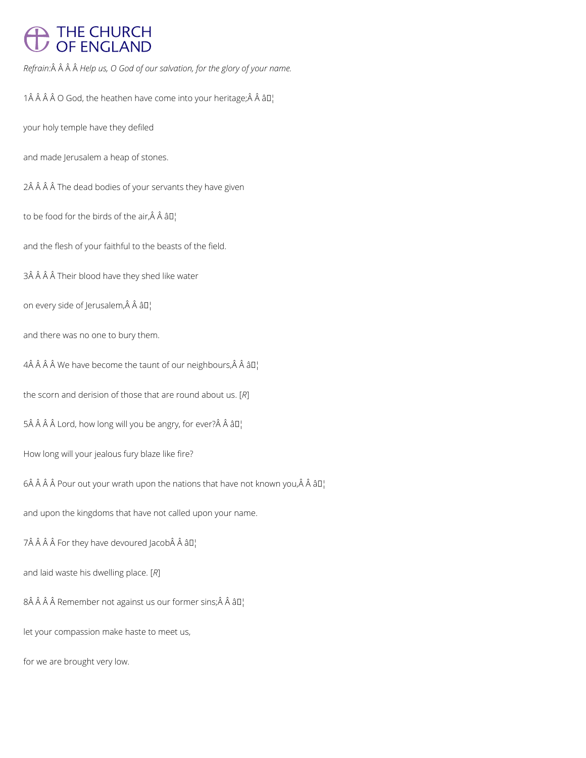## THE CHURCH<br>OF ENGLAND

*Refrain: Help us, O God of our salvation, for the glory of your name.*

1 $\hat{A}$   $\hat{A}$   $\hat{A}$   $\hat{O}$  God, the heathen have come into your heritage; $\hat{A}$   $\hat{A}$   $\hat{a}$   $\Gamma$ 

your holy temple have they defiled

and made Jerusalem a heap of stones.

2Â Â Â Â The dead bodies of your servants they have given

to be food for the birds of the air, $\hat{A}$   $\hat{A}$   $\hat{a}$  $\Gamma$ 

and the flesh of your faithful to the beasts of the field.

3Â Â Â Â Their blood have they shed like water

on every side of Jerusalem, Â Â â []

and there was no one to bury them.

 $4\hat{A}$   $\hat{A}$   $\hat{A}$   $\hat{A}$  We have become the taunt of our neighbours, $\hat{A}$   $\hat{A}$   $\hat{a}$   $\Box$ 

the scorn and derision of those that are round about us. [*R*]

 $5\hat{A}$   $\hat{A}$   $\hat{A}$   $\hat{A}$   $\hat{A}$   $\hat{C}$  and  $\hat{C}$  and  $\hat{C}$  will you be angry, for ever?  $\hat{A}$   $\hat{A}$   $\hat{B}$  $\hat{C}$ 

How long will your jealous fury blaze like fire?

6 $\hat{A}$   $\hat{A}$   $\hat{A}$   $\hat{A}$  Pour out your wrath upon the nations that have not known you, $\hat{A}$   $\hat{A}$   $\hat{a}$   $\Box$ 

and upon the kingdoms that have not called upon your name.

7 For they have devoured Jacob Â â $\mathbb{I}^1$ 

and laid waste his dwelling place. [*R*]

 $8\hat{A}$   $\hat{A}$   $\hat{A}$  Remember not against us our former sins; $\hat{A}$   $\hat{A}$   $\hat{a}$   $\Box$ 

let your compassion make haste to meet us,

for we are brought very low.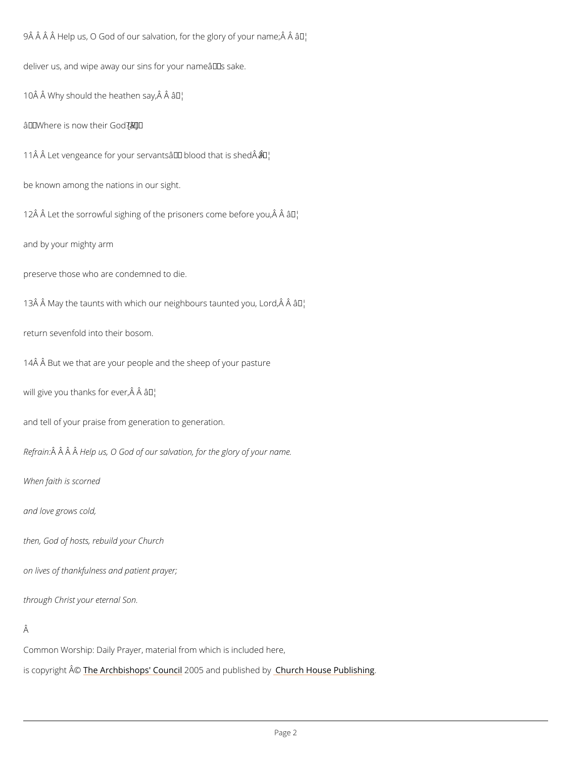9 Â Â Â Â Help us, O God of our salvation, forât the glory of your name; Â Â deliver us, and wipe away our sins for your name  $\hat{a} \in \text{TM}$  s sake. 10  $\hat{A}$   $\hat{A}$  Why should the hearthen say,  $\hat{A}$   $\hat{A}$ 

 $\hat{a} \in \tilde{w}$  Where is now  $f \mathbb{R}$  eir God? $\hat{a} \in \tilde{w}$ 

11 $\hat{A}$   $\hat{A}$  Let vengeance for your servants $\hat{\bm{x}}$   $\bm{\epsilon}$   $\bm{\epsilon}$   $\bm{\epsilon}$   $\bm{\epsilon}$  blood that is shed $\hat{A}$   $\hat{A}$ 

be known among the nations in our sight.

12  $\hat{A}$   $\hat{A}$  Let the sorrowful sighing of the priso  $\hat{a}$   $\hat{B}$   $\hat{B}$  come before you,  $\hat{A}$   $\hat{A}$ 

and by your mighty arm

preserve those who are condemned to die.

13 Å  $\hat{A}$  May the taunts with which our neighbo $\hat{a}$   $\bar{f}$ s' taunted you, Lord,  $\hat{A}$   $\hat{A}$ 

return sevenfold into their bosom.

14Â Â But we that are your people and the sheep of your pasture

will give you thanks  $\hat{a}$   $\forall$   $\forall$   $\forall$  ever,  $\hat{A}$   $\hat{A}$ 

and tell of your praise from generation to generation.

Refra $\hat{A}$ in $\hat{A}$   $\hat{A}$ H $\hat{A}$ lp us, O God of our salvation, for the glory of your name.

When faith is scorned

and love grows cold,

then, God of hosts, rebuild your Church

on lives of thankfulness and patient prayer;

through Christ your eternal Son.

Â

Common Worship: Daily Prayer, material from which is included here,

is copyrighth  $\hat{\mathbb{A}}$  @Archbishops' 2000 o5n and publish hend roby House Publishing